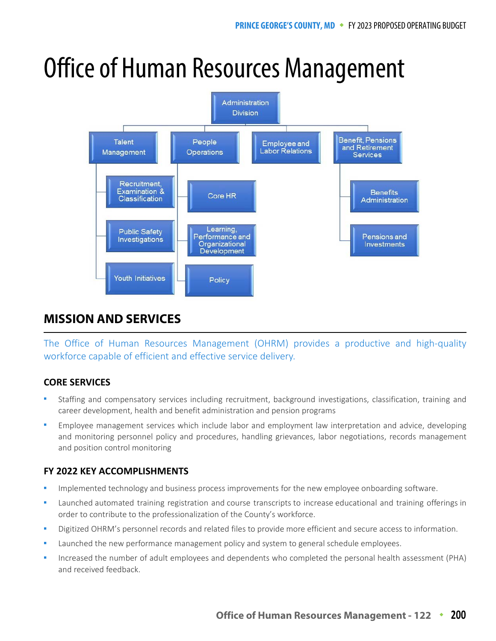# Office of Human Resources Management



# **MISSION AND SERVICES MISSION AND SERVICES**

The Office of Human Resources Management (OHRM) provides a productive and high-quality workforce capable of efficient and effective service delivery.

### **CORE SERVICES**

- Staffing and compensatory services including recruitment, background investigations, classification, training and career development, health and benefit administration and pension programs
- Employee management services which include labor and employment law interpretation and advice, developing and monitoring personnel policy and procedures, handling grievances, labor negotiations, records management and position control monitoring

## **FY 2022 KEY ACCOMPLISHMENTS**

- Implemented technology and business process improvements for the new employee onboarding software.
- Launched automated training registration and course transcripts to increase educational and training offerings in order to contribute to the professionalization of the County's workforce.
- Digitized OHRM's personnel records and related files to provide more efficient and secure access to information.
- Launched the new performance management policy and system to general schedule employees.
- Increased the number of adult employees and dependents who completed the personal health assessment (PHA) and received feedback.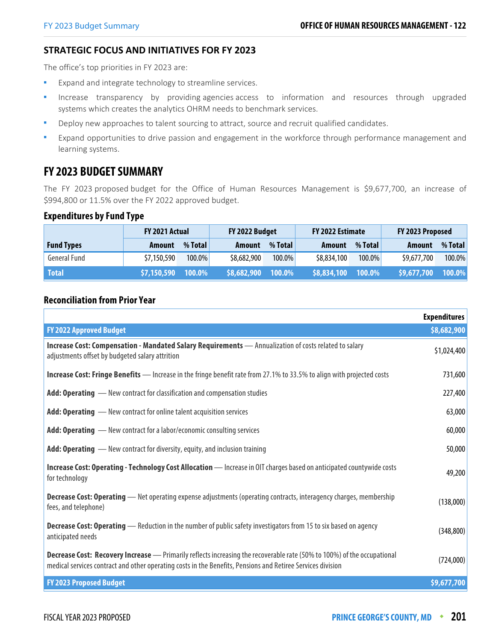#### **STRATEGIC FOCUS AND INITIATIVES FOR FY 2023**

The office's top priorities in FY 2023 are:

- **EXPAND 1** Expand and integrate technology to streamline services.
- Increase transparency by providing agencies access to information and resources through upgraded systems which creates the analytics OHRM needs to benchmark services.
- Deploy new approaches to talent sourcing to attract, source and recruit qualified candidates.
- Expand opportunities to drive passion and engagement in the workforce through performance management and learning systems.

# **FY 2023 BUDGET SUMMARY**

The FY 2023 proposed budget for the Office of Human Resources Management is \$9,677,700, an increase of \$994,800 or 11.5% over the FY 2022 approved budget.

#### **Expenditures by Fund Type**

|                     | <b>FY 2021 Actual</b> |           | FY 2022 Budget |           | FY 2022 Estimate |         | FY 2023 Proposed |           |
|---------------------|-----------------------|-----------|----------------|-----------|------------------|---------|------------------|-----------|
| <b>Fund Types</b>   | Amount                | % Total   | Amount         | % Total   | Amount           | % Total | <b>Amount</b>    | % Total   |
| <b>General Fund</b> | \$7,150,590           | $100.0\%$ | \$8,682,900    | $100.0\%$ | \$8,834,100      | 100.0%  | \$9,677,700      | $100.0\%$ |
| <b>Total</b>        | \$7,150,590           | 100.0%    | \$8,682,900    | 100.0%    | \$8,834,100      | 100.0%  | \$9,677,700      | $100.0\%$ |

#### **Reconciliation from Prior Year**

|                                                                                                                                                                                                                                               | <b>Expenditures</b> |
|-----------------------------------------------------------------------------------------------------------------------------------------------------------------------------------------------------------------------------------------------|---------------------|
| <b>FY 2022 Approved Budget</b>                                                                                                                                                                                                                | \$8,682,900         |
| Increase Cost: Compensation - Mandated Salary Requirements - Annualization of costs related to salary<br>adjustments offset by budgeted salary attrition                                                                                      | \$1,024,400         |
| <b>Increase Cost: Fringe Benefits</b> — Increase in the fringe benefit rate from 27.1% to 33.5% to align with projected costs                                                                                                                 | 731,600             |
| Add: Operating - New contract for classification and compensation studies                                                                                                                                                                     | 227,400             |
| Add: Operating - New contract for online talent acquisition services                                                                                                                                                                          | 63,000              |
| Add: Operating - New contract for a labor/economic consulting services                                                                                                                                                                        | 60,000              |
| <b>Add: Operating</b> — New contract for diversity, equity, and inclusion training                                                                                                                                                            | 50,000              |
| Increase Cost: Operating - Technology Cost Allocation - Increase in OIT charges based on anticipated countywide costs<br>for technology                                                                                                       | 49,200              |
| Decrease Cost: Operating - Net operating expense adjustments (operating contracts, interagency charges, membership<br>fees, and telephone)                                                                                                    | (138,000)           |
| Decrease Cost: Operating - Reduction in the number of public safety investigators from 15 to six based on agency<br>anticipated needs                                                                                                         | (348, 800)          |
| <b>Decrease Cost: Recovery Increase</b> - Primarily reflects increasing the recoverable rate (50% to 100%) of the occupational<br>medical services contract and other operating costs in the Benefits, Pensions and Retiree Services division | (724,000)           |
| <b>FY 2023 Proposed Budget</b>                                                                                                                                                                                                                | \$9,677,700         |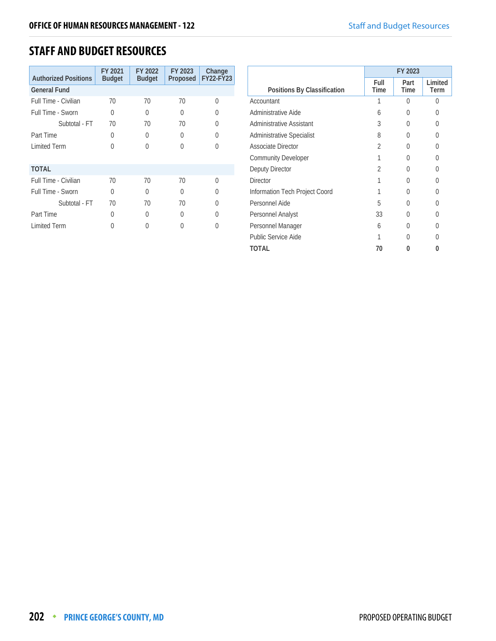# **STAFF AND BUDGET RESOURCES**

| <b>Authorized Positions</b> | FY 2021<br><b>Budget</b> | FY 2022<br><b>Budget</b> | FY 2023<br>Proposed | Change<br><b>FY22-FY23</b> |
|-----------------------------|--------------------------|--------------------------|---------------------|----------------------------|
| <b>General Fund</b>         |                          |                          |                     |                            |
| Full Time - Civilian        | 70                       | 70                       | 70                  | U                          |
| Full Time - Sworn           | $\Omega$                 | 0                        | U                   | 0                          |
| Subtotal - FT               | 70                       | 70                       | 70                  | 0                          |
| Part Time                   | 0                        | U                        | U                   | U                          |
| <b>Limited Term</b>         | 0                        | U                        | U                   | 0                          |
| <b>TOTAL</b>                |                          |                          |                     |                            |
| Full Time - Civilian        | 70                       | 70                       | 70                  | $\cap$                     |
| Full Time - Sworn           | $\Omega$                 | $\Omega$                 | U                   | U                          |
| Subtotal - FT               | 70                       | 70                       | 70                  |                            |
| Part Time                   | 0                        | U                        | U                   | Λ                          |
| <b>Limited Term</b>         | 0                        |                          |                     |                            |
|                             |                          |                          |                     |                            |

|                                  | FY 2023        |                  |                 |
|----------------------------------|----------------|------------------|-----------------|
| Positions By Classification      | Full<br>Time   | Part<br>Time     | Limited<br>Term |
| Accountant                       | 1              | U                | Λ               |
| Administrative Aide              | 6              | $\left( \right)$ | U               |
| Administrative Assistant         | 3              | 0                | 0               |
| <b>Administrative Specialist</b> | 8              | 0                | 0               |
| Associate Director               | $\mathfrak{D}$ | $\left( \right)$ | O               |
| <b>Community Developer</b>       |                | U                | Λ               |
| Deputy Director                  | 2              | 0                | 0               |
| <b>Director</b>                  |                | U                | U               |
| Information Tech Project Coord   |                | $\left( \right)$ |                 |
| Personnel Aide                   | 5              | O                | U               |
| Personnel Analyst                | 33             | 0                | U               |
| Personnel Manager                | 6              | 0                | U               |
| Public Service Aide              |                |                  |                 |
| TOTAL                            | 70             | 0                |                 |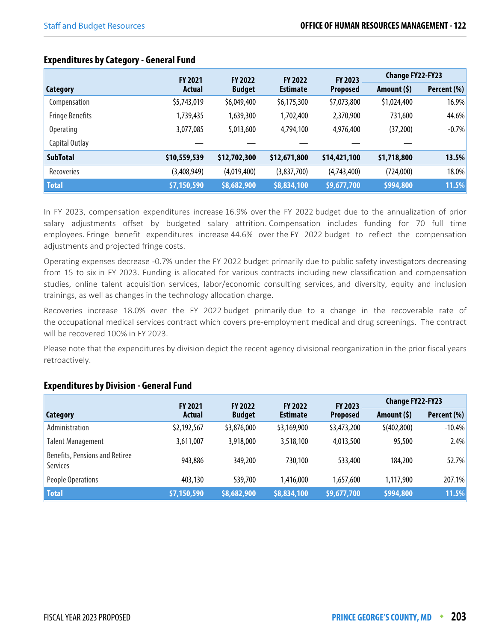|                        | <b>FY 2021</b><br><b>FY 2022</b> |               | <b>FY 2022</b>  | FY 2023         | <b>Change FY22-FY23</b> |             |
|------------------------|----------------------------------|---------------|-----------------|-----------------|-------------------------|-------------|
| Category               | Actual                           | <b>Budget</b> | <b>Estimate</b> | <b>Proposed</b> | Amount (\$)             | Percent (%) |
| Compensation           | \$5,743,019                      | \$6,049,400   | \$6,175,300     | \$7,073,800     | \$1,024,400             | 16.9%       |
| <b>Fringe Benefits</b> | 1,739,435                        | 1,639,300     | 1,702,400       | 2,370,900       | 731,600                 | 44.6%       |
| <b>Operating</b>       | 3,077,085                        | 5,013,600     | 4,794,100       | 4,976,400       | (37,200)                | $-0.7%$     |
| Capital Outlay         |                                  |               |                 |                 |                         |             |
| <b>SubTotal</b>        | \$10,559,539                     | \$12,702,300  | \$12,671,800    | \$14,421,100    | \$1,718,800             | 13.5%       |
| Recoveries             | (3,408,949)                      | (4,019,400)   | (3,837,700)     | (4,743,400)     | (724,000)               | 18.0%       |
| <b>Total</b>           | \$7,150,590                      | \$8,682,900   | \$8,834,100     | \$9,677,700     | \$994,800               | 11.5%       |

#### **Expenditures by Category - General Fund**

In FY 2023, compensation expenditures increase 16.9% over the FY 2022 budget due to the annualization of prior salary adjustments offset by budgeted salary attrition. Compensation includes funding for 70 full time employees. Fringe benefit expenditures increase 44.6% over the FY 2022 budget to reflect the compensation adjustments and projected fringe costs.

Operating expenses decrease -0.7% under the FY 2022 budget primarily due to public safety investigators decreasing from 15 to six in FY 2023. Funding is allocated for various contracts including new classification and compensation studies, online talent acquisition services, labor/economic consulting services, and diversity, equity and inclusion trainings, as well as changes in the technology allocation charge.

Recoveries increase 18.0% over the FY 2022 budget primarily due to a change in the recoverable rate of the occupational medical services contract which covers pre-employment medical and drug screenings. The contract will be recovered 100% in FY 2023.

Please note that the expenditures by division depict the recent agency divisional reorganization in the prior fiscal years retroactively.

# **Expenditures by Division - General Fund**

|                                                   | <b>FY 2021</b><br><b>FY 2022</b> |               | <b>FY 2022</b>  | <b>FY 2023</b>  | <b>Change FY22-FY23</b> |             |
|---------------------------------------------------|----------------------------------|---------------|-----------------|-----------------|-------------------------|-------------|
| <b>Category</b>                                   | <b>Actual</b>                    | <b>Budget</b> | <b>Estimate</b> | <b>Proposed</b> | Amount $(5)$            | Percent (%) |
| Administration                                    | \$2,192,567                      | \$3,876,000   | \$3,169,900     | \$3,473,200     | \$(402,800)             | $-10.4%$    |
| <b>Talent Management</b>                          | 3,611,007                        | 3,918,000     | 3,518,100       | 4,013,500       | 95,500                  | 2.4%        |
| <b>Benefits, Pensions and Retiree</b><br>Services | 943,886                          | 349,200       | 730,100         | 533,400         | 184,200                 | 52.7%       |
| People Operations                                 | 403,130                          | 539,700       | 1,416,000       | 1.657.600       | 1,117,900               | 207.1%      |
| <b>Total</b>                                      | \$7,150,590                      | \$8,682,900   | \$8,834,100     | \$9,677,700     | \$994,800               | 11.5%       |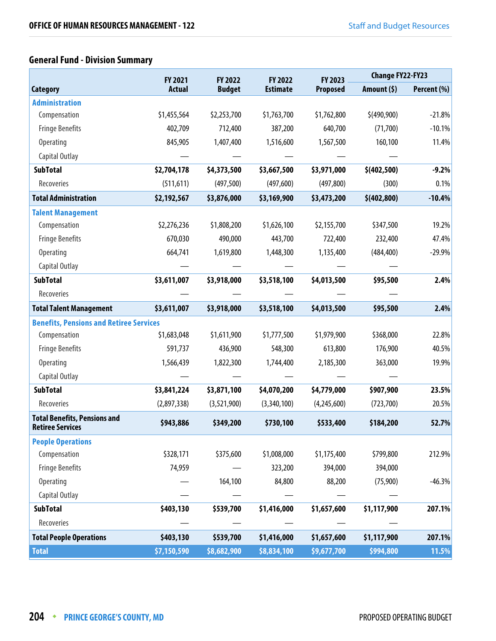# **General Fund - Division Summary**

|                                                                | <b>FY 2021</b> |               | <b>FY 2022</b><br><b>FY 2022</b> | FY 2023         | <b>Change FY22-FY23</b> |             |
|----------------------------------------------------------------|----------------|---------------|----------------------------------|-----------------|-------------------------|-------------|
| Category                                                       | <b>Actual</b>  | <b>Budget</b> | <b>Estimate</b>                  | <b>Proposed</b> | Amount $(5)$            | Percent (%) |
| <b>Administration</b>                                          |                |               |                                  |                 |                         |             |
| Compensation                                                   | \$1,455,564    | \$2,253,700   | \$1,763,700                      | \$1,762,800     | \$(490,900)             | $-21.8%$    |
| <b>Fringe Benefits</b>                                         | 402,709        | 712,400       | 387,200                          | 640,700         | (71,700)                | $-10.1%$    |
| <b>Operating</b>                                               | 845,905        | 1,407,400     | 1,516,600                        | 1,567,500       | 160,100                 | 11.4%       |
| Capital Outlay                                                 |                |               |                                  |                 |                         |             |
| <b>SubTotal</b>                                                | \$2,704,178    | \$4,373,500   | \$3,667,500                      | \$3,971,000     | \$ (402, 500)           | $-9.2%$     |
| Recoveries                                                     | (511, 611)     | (497, 500)    | (497, 600)                       | (497, 800)      | (300)                   | 0.1%        |
| <b>Total Administration</b>                                    | \$2,192,567    | \$3,876,000   | \$3,169,900                      | \$3,473,200     | \$ (402, 800)           | $-10.4%$    |
| <b>Talent Management</b>                                       |                |               |                                  |                 |                         |             |
| Compensation                                                   | \$2,276,236    | \$1,808,200   | \$1,626,100                      | \$2,155,700     | \$347,500               | 19.2%       |
| <b>Fringe Benefits</b>                                         | 670,030        | 490,000       | 443,700                          | 722,400         | 232,400                 | 47.4%       |
| <b>Operating</b>                                               | 664,741        | 1,619,800     | 1,448,300                        | 1,135,400       | (484, 400)              | $-29.9%$    |
| Capital Outlay                                                 |                |               |                                  |                 |                         |             |
| <b>SubTotal</b>                                                | \$3,611,007    | \$3,918,000   | \$3,518,100                      | \$4,013,500     | \$95,500                | 2.4%        |
| Recoveries                                                     |                |               |                                  |                 |                         |             |
| <b>Total Talent Management</b>                                 | \$3,611,007    | \$3,918,000   | \$3,518,100                      | \$4,013,500     | \$95,500                | 2.4%        |
| <b>Benefits, Pensions and Retiree Services</b>                 |                |               |                                  |                 |                         |             |
| Compensation                                                   | \$1,683,048    | \$1,611,900   | \$1,777,500                      | \$1,979,900     | \$368,000               | 22.8%       |
| <b>Fringe Benefits</b>                                         | 591,737        | 436,900       | 548,300                          | 613,800         | 176,900                 | 40.5%       |
| Operating                                                      | 1,566,439      | 1,822,300     | 1,744,400                        | 2,185,300       | 363,000                 | 19.9%       |
| Capital Outlay                                                 |                |               |                                  |                 |                         |             |
| <b>SubTotal</b>                                                | \$3,841,224    | \$3,871,100   | \$4,070,200                      | \$4,779,000     | \$907,900               | 23.5%       |
| Recoveries                                                     | (2,897,338)    | (3,521,900)   | (3,340,100)                      | (4,245,600)     | (723, 700)              | 20.5%       |
| <b>Total Benefits, Pensions and</b><br><b>Retiree Services</b> | \$943,886      | \$349,200     | \$730,100                        | \$533,400       | \$184,200               | 52.7%       |
| <b>People Operations</b>                                       |                |               |                                  |                 |                         |             |
| Compensation                                                   | \$328,171      | \$375,600     | \$1,008,000                      | \$1,175,400     | \$799,800               | 212.9%      |
| <b>Fringe Benefits</b>                                         | 74,959         |               | 323,200                          | 394,000         | 394,000                 |             |
| Operating                                                      |                | 164,100       | 84,800                           | 88,200          | (75,900)                | $-46.3%$    |
| Capital Outlay                                                 |                |               |                                  |                 |                         |             |
| <b>SubTotal</b>                                                | \$403,130      | \$539,700     | \$1,416,000                      | \$1,657,600     | \$1,117,900             | 207.1%      |
| Recoveries                                                     |                |               |                                  |                 |                         |             |
| <b>Total People Operations</b>                                 | \$403,130      | \$539,700     | \$1,416,000                      | \$1,657,600     | \$1,117,900             | 207.1%      |
| <b>Total</b>                                                   | \$7,150,590    | \$8,682,900   | \$8,834,100                      | \$9,677,700     | \$994,800               | 11.5%       |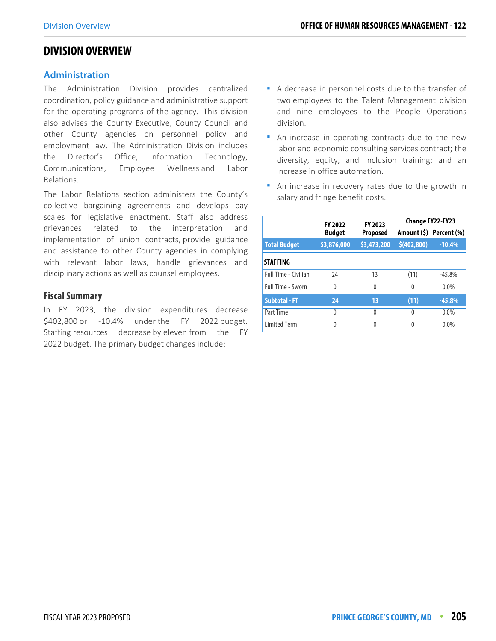## **DIVISION OVERVIEW**

#### **Administration**

The Administration Division provides centralized coordination, policy guidance and administrative support for the operating programs of the agency. This division also advises the County Executive, County Council and other County agencies on personnel policy and employment law. The Administration Division includes the Director's Office, Information Technology, Communications, Employee Wellness and Labor Relations.

The Labor Relations section administers the County's collective bargaining agreements and develops pay scales for legislative enactment. Staff also address grievances related to the interpretation and implementation of union contracts, provide guidance and assistance to other County agencies in complying with relevant labor laws, handle grievances and disciplinary actions as well as counsel employees.

#### **Fiscal Summary**

In FY 2023, the division expenditures decrease \$402,800 or -10.4% under the FY 2022 budget. Staffing resources decrease by eleven from the FY 2022 budget. The primary budget changes include:

- A decrease in personnel costs due to the transfer of two employees to the Talent Management division and nine employees to the People Operations division.
- An increase in operating contracts due to the new labor and economic consulting services contract; the diversity, equity, and inclusion training; and an increase in office automation.
- An increase in recovery rates due to the growth in salary and fringe benefit costs.

|                             | FY 2023<br><b>FY 2022</b> |                 | <b>Change FY22-FY23</b> |                         |  |
|-----------------------------|---------------------------|-----------------|-------------------------|-------------------------|--|
|                             | <b>Budget</b>             | <b>Proposed</b> |                         | Amount (\$) Percent (%) |  |
| <b>Total Budget</b>         | \$3,876,000               | \$3,473,200     | \$(402,800)             | $-10.4%$                |  |
| <b>STAFFING</b>             |                           |                 |                         |                         |  |
| <b>Full Time - Civilian</b> | 24                        | 13              | (11)                    | $-45.8\%$               |  |
| Full Time - Sworn           | 0                         | $\Omega$        | 0                       | $0.0\%$                 |  |
| <b>Subtotal - FT</b>        | 24                        | 13              | (11)                    | $-45.8%$                |  |
| Part Time                   | 0                         | $\Omega$        | 0                       | $0.0\%$                 |  |
| <b>Limited Term</b>         | 0                         | 0               | 0                       | $0.0\%$                 |  |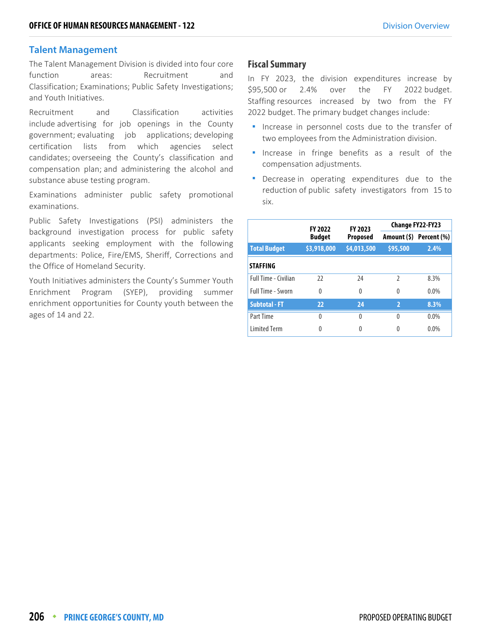#### **Talent Management**

The Talent Management Division is divided into four core function areas: Recruitment and Classification; Examinations; Public Safety Investigations; and Youth Initiatives.

Recruitment and Classification activities include advertising for job openings in the County government; evaluating job applications; developing certification lists from which agencies select candidates; overseeing the County's classification and compensation plan; and administering the alcohol and substance abuse testing program.

Examinations administer public safety promotional examinations.

Public Safety Investigations (PSI) administers the background investigation process for public safety applicants seeking employment with the following departments: Police, Fire/EMS, Sheriff, Corrections and the Office of Homeland Security.

Youth Initiatives administers the County's Summer Youth Enrichment Program (SYEP), providing summer enrichment opportunities for County youth between the ages of 14 and 22.

#### **Fiscal Summary**

In FY 2023, the division expenditures increase by \$95,500 or 2.4% over the FY 2022 budget. Staffing resources increased by two from the FY 2022 budget. The primary budget changes include:

- **Increase in personnel costs due to the transfer of** two employees from the Administration division.
- **Increase in fringe benefits as a result of the** compensation adjustments.
- **•** Decrease in operating expenditures due to the reduction of public safety investigators from 15 to six.

|                             | <b>FY 2022</b> | FY 2023         | Change FY22-FY23 |                         |  |
|-----------------------------|----------------|-----------------|------------------|-------------------------|--|
|                             | <b>Budget</b>  | <b>Proposed</b> |                  | Amount (\$) Percent (%) |  |
| <b>Total Budget</b>         | \$3,918,000    | \$4,013,500     | \$95,500         | 2.4%                    |  |
| <b>STAFFING</b>             |                |                 |                  |                         |  |
| <b>Full Time - Civilian</b> | 22             | 24              | $\mathfrak z$    | 8.3%                    |  |
| <b>Full Time - Sworn</b>    | 0              | $\Omega$        | $\Omega$         | $0.0\%$                 |  |
| <b>Subtotal - FT</b>        | 22             | 24              | $\overline{2}$   | 8.3%                    |  |
| Part Time                   | 0              | 0               | $\theta$         | $0.0\%$                 |  |
| <b>Limited Term</b>         | 0              | 0               | 0                | 0.0%                    |  |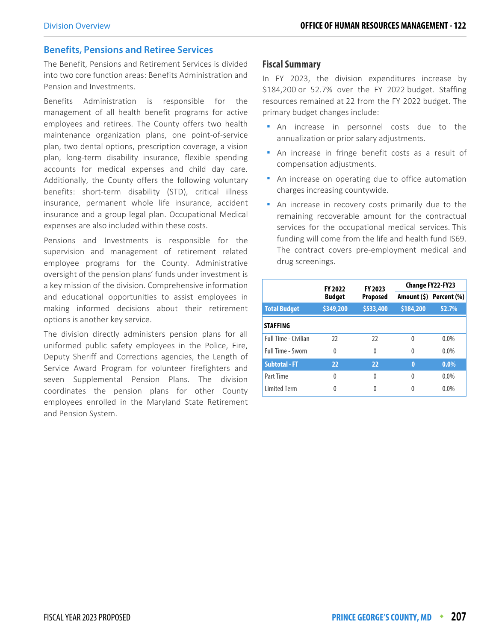#### **Benefits, Pensions and Retiree Services**

The Benefit, Pensions and Retirement Services is divided into two core function areas: Benefits Administration and Pension and Investments.

Benefits Administration is responsible for the management of all health benefit programs for active employees and retirees. The County offers two health maintenance organization plans, one point-of-service plan, two dental options, prescription coverage, a vision plan, long-term disability insurance, flexible spending accounts for medical expenses and child day care. Additionally, the County offers the following voluntary benefits: short-term disability (STD), critical illness insurance, permanent whole life insurance, accident insurance and a group legal plan. Occupational Medical expenses are also included within these costs.

Pensions and Investments is responsible for the supervision and management of retirement related employee programs for the County. Administrative oversight of the pension plans' funds under investment is a key mission of the division. Comprehensive information and educational opportunities to assist employees in making informed decisions about their retirement options is another key service.

The division directly administers pension plans for all uniformed public safety employees in the Police, Fire, Deputy Sheriff and Corrections agencies, the Length of Service Award Program for volunteer firefighters and seven Supplemental Pension Plans. The division coordinates the pension plans for other County employees enrolled in the Maryland State Retirement and Pension System.

#### **Fiscal Summary**

In FY 2023, the division expenditures increase by \$184,200 or 52.7% over the FY 2022 budget. Staffing resources remained at 22 from the FY 2022 budget. The primary budget changes include:

- An increase in personnel costs due to the annualization or prior salary adjustments.
- An increase in fringe benefit costs as a result of compensation adjustments.
- **An increase on operating due to office automation** charges increasing countywide.
- An increase in recovery costs primarily due to the remaining recoverable amount for the contractual services for the occupational medical services. This funding will come from the life and health fund IS69. The contract covers pre-employment medical and drug screenings.

|                             | <b>FY 2022</b>                   | FY 2023   | <b>Change FY22-FY23</b> |                         |  |
|-----------------------------|----------------------------------|-----------|-------------------------|-------------------------|--|
|                             | <b>Budget</b><br><b>Proposed</b> |           |                         | Amount (\$) Percent (%) |  |
| <b>Total Budget</b>         | \$349,200                        | \$533,400 | \$184,200               | 52.7%                   |  |
| <b>STAFFING</b>             |                                  |           |                         |                         |  |
| <b>Full Time - Civilian</b> | 22                               | 22        | $\Omega$                | $0.0\%$                 |  |
| Full Time - Sworn           | $\Omega$                         | 0         | $\Omega$                | $0.0\%$                 |  |
| <b>Subtotal - FT</b>        | 22                               | 22        | $\bf{0}$                | $0.0\%$                 |  |
| Part Time                   | 0                                | U         | $\Omega$                | $0.0\%$                 |  |
| <b>Limited Term</b>         | Λ                                |           |                         | $0.0\%$                 |  |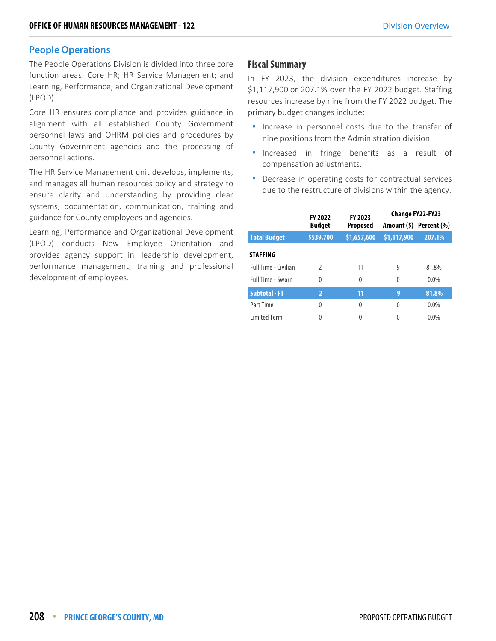#### **People Operations**

The People Operations Division is divided into three core function areas: Core HR; HR Service Management; and Learning, Performance, and Organizational Development (LPOD).

Core HR ensures compliance and provides guidance in alignment with all established County Government personnel laws and OHRM policies and procedures by County Government agencies and the processing of personnel actions.

The HR Service Management unit develops, implements, and manages all human resources policy and strategy to ensure clarity and understanding by providing clear systems, documentation, communication, training and guidance for County employees and agencies.

Learning, Performance and Organizational Development (LPOD) conducts New Employee Orientation and provides agency support in leadership development, performance management, training and professional development of employees.

#### **Fiscal Summary**

In FY 2023, the division expenditures increase by \$1,117,900 or 207.1% over the FY 2022 budget. Staffing resources increase by nine from the FY 2022 budget. The primary budget changes include:

- **Increase in personnel costs due to the transfer of** nine positions from the Administration division.
- **Increased in fringe benefits as a result of** compensation adjustments.
- **•** Decrease in operating costs for contractual services due to the restructure of divisions within the agency.

|                      | <b>FY 2022</b> | FY 2023         | Change FY22-FY23 |                         |  |
|----------------------|----------------|-----------------|------------------|-------------------------|--|
|                      | <b>Budget</b>  | <b>Proposed</b> |                  | Amount (\$) Percent (%) |  |
| <b>Total Budget</b>  | \$539,700      | \$1,657,600     | \$1,117,900      | 207.1%                  |  |
| <b>STAFFING</b>      |                |                 |                  |                         |  |
| Full Time - Civilian | $\mathfrak z$  | 11              | 9                | 81.8%                   |  |
| Full Time - Sworn    | 0              | 0               | $\Omega$         | $0.0\%$                 |  |
| <b>Subtotal - FT</b> | $\overline{2}$ | 11              | 9                | 81.8%                   |  |
| Part Time            | 0              | 0               | 0                | $0.0\%$                 |  |
| <b>Limited Term</b>  | 0              | 0               |                  | $0.0\%$                 |  |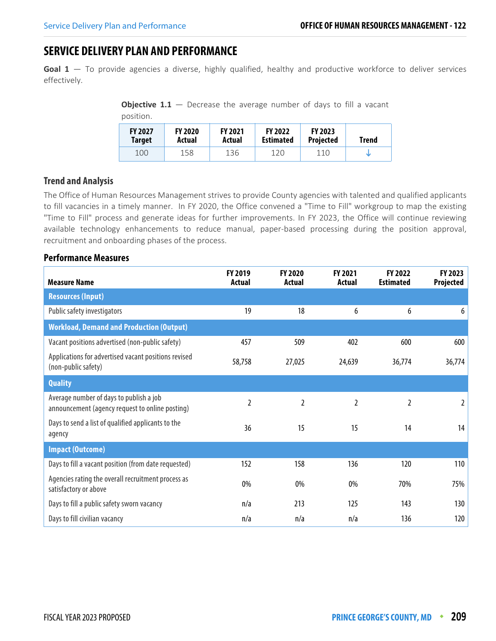# **SERVICE DELIVERY PLAN AND PERFORMANCE**

**Goal 1** — To provide agencies a diverse, highly qualified, healthy and productive workforce to deliver services effectively.

**Objective 1.1** – Decrease the average number of days to fill a vacant position.

| DUSILIUIT. |                                 |                          |                          |                                    |                                    |              |  |  |  |
|------------|---------------------------------|--------------------------|--------------------------|------------------------------------|------------------------------------|--------------|--|--|--|
|            | <b>FY 2027</b><br><b>Target</b> | <b>FY 2020</b><br>Actual | <b>FY 2021</b><br>Actual | <b>FY 2022</b><br><b>Estimated</b> | <b>FY 2023</b><br><b>Projected</b> | <b>Trend</b> |  |  |  |
|            | 100                             | 158                      | 136                      | 120                                | 110                                | w            |  |  |  |

#### **Trend and Analysis**

The Office of Human Resources Management strives to provide County agencies with talented and qualified applicants to fill vacancies in a timely manner. In FY 2020, the Office convened a "Time to Fill" workgroup to map the existing "Time to Fill" process and generate ideas for further improvements. In FY 2023, the Office will continue reviewing available technology enhancements to reduce manual, paper-based processing during the position approval, recruitment and onboarding phases of the process.

| <b>Measure Name</b>                                                                        | FY 2019<br><b>Actual</b> | FY 2020<br>Actual | FY 2021<br><b>Actual</b> | FY 2022<br><b>Estimated</b> | FY 2023<br>Projected |
|--------------------------------------------------------------------------------------------|--------------------------|-------------------|--------------------------|-----------------------------|----------------------|
| <b>Resources (Input)</b>                                                                   |                          |                   |                          |                             |                      |
| Public safety investigators                                                                | 19                       | 18                | 6                        | 6                           | 6                    |
| <b>Workload, Demand and Production (Output)</b>                                            |                          |                   |                          |                             |                      |
| Vacant positions advertised (non-public safety)                                            | 457                      | 509               | 402                      | 600                         | 600                  |
| Applications for advertised vacant positions revised<br>(non-public safety)                | 58,758                   | 27,025            | 24,639                   | 36,774                      | 36,774               |
| <b>Quality</b>                                                                             |                          |                   |                          |                             |                      |
| Average number of days to publish a job<br>announcement (agency request to online posting) | $\overline{2}$           | $\overline{2}$    | 2                        | 2                           | 2                    |
| Days to send a list of qualified applicants to the<br>agency                               | 36                       | 15                | 15                       | 14                          | 14                   |
| <b>Impact (Outcome)</b>                                                                    |                          |                   |                          |                             |                      |
| Days to fill a vacant position (from date requested)                                       | 152                      | 158               | 136                      | 120                         | 110                  |
| Agencies rating the overall recruitment process as<br>satisfactory or above                | 0%                       | 0%                | 0%                       | 70%                         | 75%                  |
| Days to fill a public safety sworn vacancy                                                 | n/a                      | 213               | 125                      | 143                         | 130                  |
| Days to fill civilian vacancy                                                              | n/a                      | n/a               | n/a                      | 136                         | 120                  |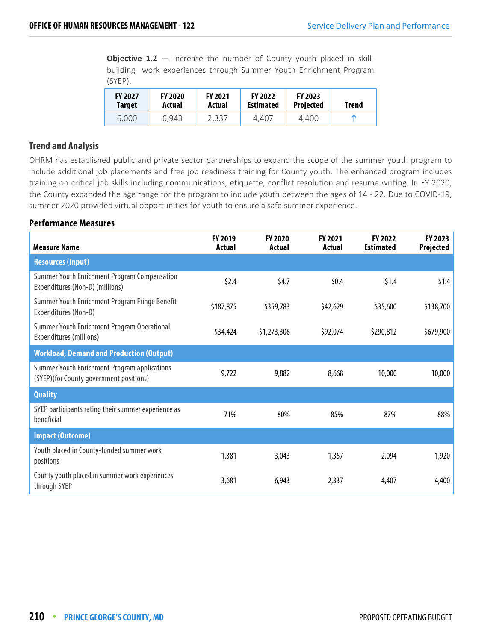**Objective 1.2** – Increase the number of County youth placed in skillbuilding work experiences through Summer Youth Enrichment Program (SYEP).

| <b>FY 2027</b> | <b>FY 2020</b> | <b>FY 2021</b> | <b>FY 2022</b>   | <b>FY 2023</b>   | Trend |
|----------------|----------------|----------------|------------------|------------------|-------|
| Target         | Actual         | Actual         | <b>Estimated</b> | <b>Projected</b> |       |
| 6.000          | 6.943          | 2,337          | 4.407            | 4.400            |       |

#### **Trend and Analysis**

OHRM has established public and private sector partnerships to expand the scope of the summer youth program to include additional job placements and free job readiness training for County youth. The enhanced program includes training on critical job skills including communications, etiquette, conflict resolution and resume writing. In FY 2020, the County expanded the age range for the program to include youth between the ages of 14 - 22. Due to COVID-19, summer 2020 provided virtual opportunities for youth to ensure a safe summer experience.

| <b>Measure Name</b>                                                                            | FY 2019<br>Actual | <b>FY 2020</b><br>Actual | FY 2021<br>Actual | FY 2022<br><b>Estimated</b> | <b>FY 2023</b><br><b>Projected</b> |
|------------------------------------------------------------------------------------------------|-------------------|--------------------------|-------------------|-----------------------------|------------------------------------|
| <b>Resources (Input)</b>                                                                       |                   |                          |                   |                             |                                    |
| Summer Youth Enrichment Program Compensation<br>Expenditures (Non-D) (millions)                | \$2.4\$           | \$4.7                    | \$0.4\$           | \$1.4                       | \$1.4                              |
| Summer Youth Enrichment Program Fringe Benefit<br>Expenditures (Non-D)                         | \$187,875         | \$359,783                | \$42,629          | \$35,600                    | \$138,700                          |
| Summer Youth Enrichment Program Operational<br>Expenditures (millions)                         | \$34,424          | \$1,273,306              | \$92,074          | \$290,812                   | \$679,900                          |
| <b>Workload, Demand and Production (Output)</b>                                                |                   |                          |                   |                             |                                    |
| <b>Summer Youth Enrichment Program applications</b><br>(SYEP)(for County government positions) | 9,722             | 9,882                    | 8,668             | 10,000                      | 10,000                             |
| <b>Quality</b>                                                                                 |                   |                          |                   |                             |                                    |
| SYEP participants rating their summer experience as<br>beneficial                              | 71%               | 80%                      | 85%               | 87%                         | 88%                                |
| <b>Impact (Outcome)</b>                                                                        |                   |                          |                   |                             |                                    |
| Youth placed in County-funded summer work<br>positions                                         | 1,381             | 3,043                    | 1,357             | 2,094                       | 1,920                              |
| County youth placed in summer work experiences<br>through SYEP                                 | 3,681             | 6,943                    | 2,337             | 4,407                       | 4,400                              |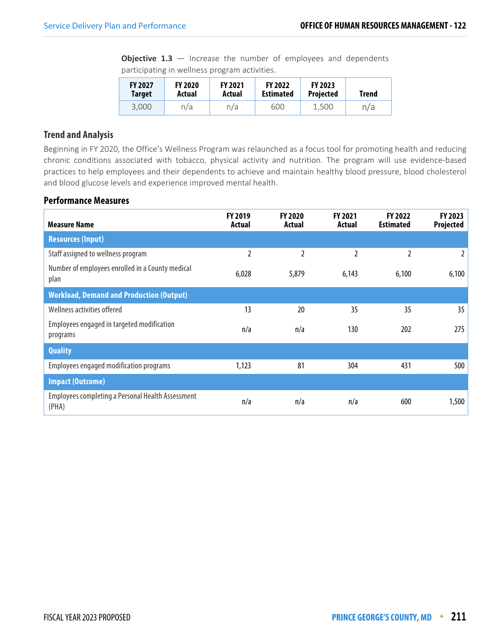**Objective 1.3** – Increase the number of employees and dependents participating in wellness program activities.

| <b>FY 2027</b> | <b>FY 2020</b> | <b>FY 2021</b> | <b>FY 2022</b>   | <b>FY 2023</b>   | Trend |
|----------------|----------------|----------------|------------------|------------------|-------|
| <b>Target</b>  | Actual         | Actual         | <b>Estimated</b> | <b>Projected</b> |       |
| 3,000          | n/a            | n/a            | 600              | 1,500            | n/a   |

#### **Trend and Analysis**

Beginning in FY 2020, the Office's Wellness Program was relaunched as a focus tool for promoting health and reducing chronic conditions associated with tobacco, physical activity and nutrition. The program will use evidence-based practices to help employees and their dependents to achieve and maintain healthy blood pressure, blood cholesterol and blood glucose levels and experience improved mental health.

| <b>Measure Name</b>                                        | <b>FY 2019</b><br>Actual | <b>FY 2020</b><br>Actual | FY 2021<br>Actual | FY 2022<br><b>Estimated</b> | FY 2023<br>Projected |
|------------------------------------------------------------|--------------------------|--------------------------|-------------------|-----------------------------|----------------------|
| <b>Resources (Input)</b>                                   |                          |                          |                   |                             |                      |
| Staff assigned to wellness program                         | 2                        | 2                        | 2                 | 2                           | 2                    |
| Number of employees enrolled in a County medical<br>plan   | 6,028                    | 5,879                    | 6,143             | 6,100                       | 6,100                |
| <b>Workload, Demand and Production (Output)</b>            |                          |                          |                   |                             |                      |
| Wellness activities offered                                | 13                       | 20                       | 35                | 35                          | 35                   |
| Employees engaged in targeted modification<br>programs     | n/a                      | n/a                      | 130               | 202                         | 275                  |
| <b>Quality</b>                                             |                          |                          |                   |                             |                      |
| Employees engaged modification programs                    | 1,123                    | 81                       | 304               | 431                         | 500                  |
| <b>Impact (Outcome)</b>                                    |                          |                          |                   |                             |                      |
| Employees completing a Personal Health Assessment<br>(PHA) | n/a                      | n/a                      | n/a               | 600                         | 1,500                |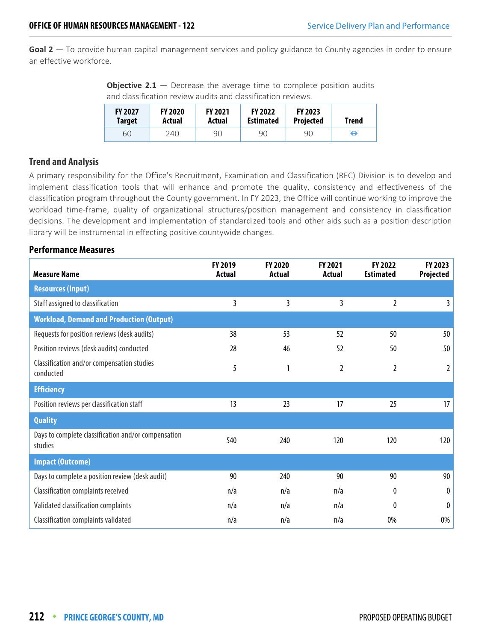**Goal 2** — To provide human capital management services and policy guidance to County agencies in order to ensure an effective workforce.

**Objective 2.1** – Decrease the average time to complete position audits and classification review audits and classification reviews.

| <b>FY 2027</b> | <b>FY 2020</b> | <b>FY 2021</b> | <b>FY 2022</b>   | <b>FY 2023</b>   | Trend |
|----------------|----------------|----------------|------------------|------------------|-------|
| <b>Target</b>  | Actual         | Actual         | <b>Estimated</b> | <b>Projected</b> |       |
| 60             | 240.           | 90             | 90               | 90               | ⇔     |

#### **Trend and Analysis**

A primary responsibility for the Office's Recruitment, Examination and Classification (REC) Division is to develop and implement classification tools that will enhance and promote the quality, consistency and effectiveness of the classification program throughout the County government. In FY 2023, the Office will continue working to improve the workload time-frame, quality of organizational structures/position management and consistency in classification decisions. The development and implementation of standardized tools and other aids such as a position description library will be instrumental in effecting positive countywide changes.

| <b>Measure Name</b>                                            | <b>FY 2019</b><br>Actual | <b>FY 2020</b><br>Actual | <b>FY 2021</b><br>Actual | FY 2022<br><b>Estimated</b> | FY 2023<br><b>Projected</b> |
|----------------------------------------------------------------|--------------------------|--------------------------|--------------------------|-----------------------------|-----------------------------|
| <b>Resources (Input)</b>                                       |                          |                          |                          |                             |                             |
| Staff assigned to classification                               | 3                        | 3                        | 3                        | $\overline{2}$              | 3                           |
| <b>Workload, Demand and Production (Output)</b>                |                          |                          |                          |                             |                             |
| Requests for position reviews (desk audits)                    | 38                       | 53                       | 52                       | 50                          | 50                          |
| Position reviews (desk audits) conducted                       | 28                       | 46                       | 52                       | 50                          | 50                          |
| Classification and/or compensation studies<br>conducted        | 5                        | 1                        | 2                        | $\overline{2}$              | 2                           |
| <b>Efficiency</b>                                              |                          |                          |                          |                             |                             |
| Position reviews per classification staff                      | 13                       | 23                       | 17                       | 25                          | 17                          |
| <b>Quality</b>                                                 |                          |                          |                          |                             |                             |
| Days to complete classification and/or compensation<br>studies | 540                      | 240                      | 120                      | 120                         | 120                         |
| <b>Impact (Outcome)</b>                                        |                          |                          |                          |                             |                             |
| Days to complete a position review (desk audit)                | 90                       | 240                      | 90                       | 90                          | 90                          |
| Classification complaints received                             | n/a                      | n/a                      | n/a                      | 0                           | $\boldsymbol{0}$            |
| Validated classification complaints                            | n/a                      | n/a                      | n/a                      | 0                           | $\boldsymbol{0}$            |
| Classification complaints validated                            | n/a                      | n/a                      | n/a                      | 0%                          | 0%                          |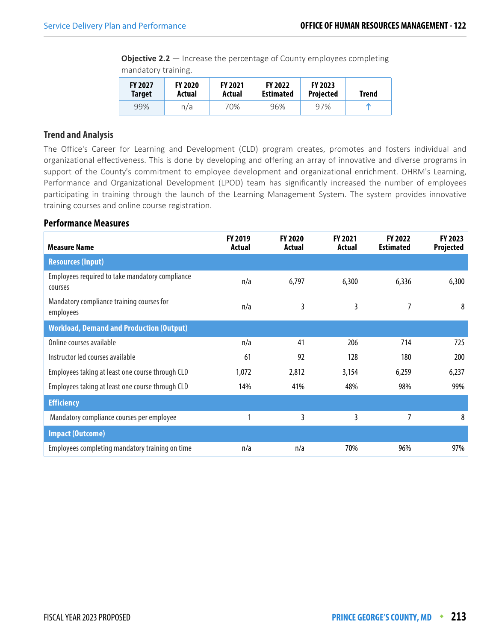**Objective 2.2** – Increase the percentage of County employees completing mandatory training.

| <b>FY 2027</b> | <b>FY 2020</b> | <b>FY 2021</b> | <b>FY 2022</b>   | <b>FY 2023</b>   | Trend |
|----------------|----------------|----------------|------------------|------------------|-------|
| <b>Target</b>  | Actual         | Actual         | <b>Estimated</b> | <b>Projected</b> |       |
| 99%            | n/a            | 70%            | 96%              | 97%              | m     |

#### **Trend and Analysis**

The Office's Career for Learning and Development (CLD) program creates, promotes and fosters individual and organizational effectiveness. This is done by developing and offering an array of innovative and diverse programs in support of the County's commitment to employee development and organizational enrichment. OHRM's Learning, Performance and Organizational Development (LPOD) team has significantly increased the number of employees participating in training through the launch of the Learning Management System. The system provides innovative training courses and online course registration.

| <b>Measure Name</b>                                        | FY 2019<br>Actual | <b>FY 2020</b><br>Actual | <b>FY 2021</b><br>Actual | <b>FY 2022</b><br><b>Estimated</b> | FY 2023<br>Projected |
|------------------------------------------------------------|-------------------|--------------------------|--------------------------|------------------------------------|----------------------|
| <b>Resources (Input)</b>                                   |                   |                          |                          |                                    |                      |
| Employees required to take mandatory compliance<br>courses | n/a               | 6,797                    | 6,300                    | 6,336                              | 6,300                |
| Mandatory compliance training courses for<br>employees     | n/a               | 3                        | 3                        |                                    | 8                    |
| <b>Workload, Demand and Production (Output)</b>            |                   |                          |                          |                                    |                      |
| Online courses available                                   | n/a               | 41                       | 206                      | 714                                | 725                  |
| Instructor led courses available                           | 61                | 92                       | 128                      | 180                                | 200                  |
| Employees taking at least one course through CLD           | 1,072             | 2,812                    | 3,154                    | 6,259                              | 6,237                |
| Employees taking at least one course through CLD           | 14%               | 41%                      | 48%                      | 98%                                | 99%                  |
| <b>Efficiency</b>                                          |                   |                          |                          |                                    |                      |
| Mandatory compliance courses per employee                  |                   | 3                        | 3                        | 7                                  | 8                    |
| <b>Impact (Outcome)</b>                                    |                   |                          |                          |                                    |                      |
| Employees completing mandatory training on time            | n/a               | n/a                      | 70%                      | 96%                                | 97%                  |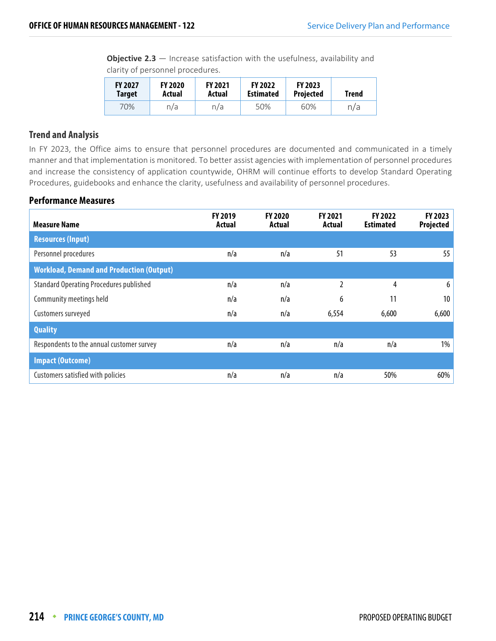**Objective 2.3** — Increase satisfaction with the usefulness, availability and clarity of personnel procedures.

| <b>FY 2027</b> | <b>FY 2020</b> | <b>FY 2021</b> | <b>FY 2022</b>   | <b>FY 2023</b>   | Trend |
|----------------|----------------|----------------|------------------|------------------|-------|
| <b>Target</b>  | Actual         | Actual         | <b>Estimated</b> | <b>Projected</b> |       |
| 70%            | n/a            | n/a            | 50%              | 60%              | n/a   |

#### **Trend and Analysis**

In FY 2023, the Office aims to ensure that personnel procedures are documented and communicated in a timely manner and that implementation is monitored. To better assist agencies with implementation of personnel procedures and increase the consistency of application countywide, OHRM will continue efforts to develop Standard Operating Procedures, guidebooks and enhance the clarity, usefulness and availability of personnel procedures.

| <b>Measure Name</b>                             | <b>FY 2019</b><br>Actual | <b>FY 2020</b><br>Actual | <b>FY 2021</b><br>Actual | <b>FY 2022</b><br><b>Estimated</b> | FY 2023<br>Projected |
|-------------------------------------------------|--------------------------|--------------------------|--------------------------|------------------------------------|----------------------|
| <b>Resources (Input)</b>                        |                          |                          |                          |                                    |                      |
| Personnel procedures                            | n/a                      | n/a                      | 51                       | 53                                 | 55                   |
| <b>Workload, Demand and Production (Output)</b> |                          |                          |                          |                                    |                      |
| <b>Standard Operating Procedures published</b>  | n/a                      | n/a                      | $\overline{2}$           | 4                                  | 6                    |
| Community meetings held                         | n/a                      | n/a                      | 6                        | 11                                 | 10                   |
| Customers surveyed                              | n/a                      | n/a                      | 6,554                    | 6,600                              | 6,600                |
| <b>Quality</b>                                  |                          |                          |                          |                                    |                      |
| Respondents to the annual customer survey       | n/a                      | n/a                      | n/a                      | n/a                                | $1\%$                |
| <b>Impact (Outcome)</b>                         |                          |                          |                          |                                    |                      |
| Customers satisfied with policies               | n/a                      | n/a                      | n/a                      | 50%                                | 60%                  |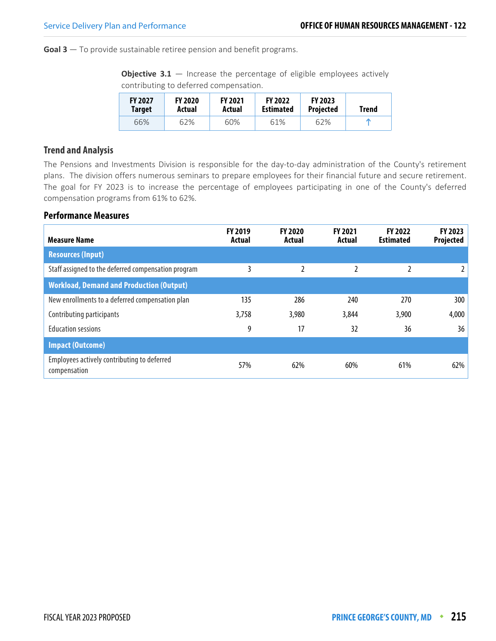**Goal 3** — To provide sustainable retiree pension and benefit programs.

**Objective 3.1** – Increase the percentage of eligible employees actively contributing to deferred compensation.

| <b>FY 2027</b><br><b>Target</b> | <b>FY 2020</b><br>Actual | <b>FY 2021</b><br>Actual | <b>FY 2022</b><br><b>Estimated</b> | <b>FY 2023</b><br><b>Projected</b> | <b>Trend</b> |
|---------------------------------|--------------------------|--------------------------|------------------------------------|------------------------------------|--------------|
| 66%                             | 62%                      | 60%                      | 61%                                | 62%                                |              |

#### **Trend and Analysis**

The Pensions and Investments Division is responsible for the day-to-day administration of the County's retirement plans. The division offers numerous seminars to prepare employees for their financial future and secure retirement. The goal for FY 2023 is to increase the percentage of employees participating in one of the County's deferred compensation programs from 61% to 62%.

| <b>Measure Name</b>                                         | <b>FY 2019</b><br>Actual | <b>FY 2020</b><br>Actual | <b>FY 2021</b><br>Actual | <b>FY 2022</b><br><b>Estimated</b> | <b>FY 2023</b><br>Projected |
|-------------------------------------------------------------|--------------------------|--------------------------|--------------------------|------------------------------------|-----------------------------|
| <b>Resources (Input)</b>                                    |                          |                          |                          |                                    |                             |
| Staff assigned to the deferred compensation program         | 3                        | $\overline{2}$           |                          | $\overline{2}$                     |                             |
| <b>Workload, Demand and Production (Output)</b>             |                          |                          |                          |                                    |                             |
| New enrollments to a deferred compensation plan             | 135                      | 286                      | 240                      | 270                                | 300                         |
| Contributing participants                                   | 3,758                    | 3,980                    | 3,844                    | 3,900                              | 4,000                       |
| <b>Education sessions</b>                                   | 9                        | 17                       | 32                       | 36                                 | 36                          |
| <b>Impact (Outcome)</b>                                     |                          |                          |                          |                                    |                             |
| Employees actively contributing to deferred<br>compensation | 57%                      | 62%                      | 60%                      | 61%                                | 62%                         |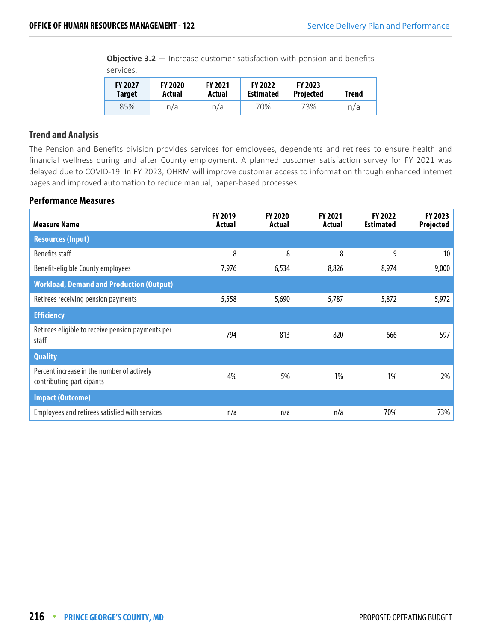**Objective 3.2** – Increase customer satisfaction with pension and benefits services.

| <b>FY 2027</b> | <b>FY 2020</b> | <b>FY 2021</b> | <b>FY 2022</b>   | <b>FY 2023</b>   | Trend |
|----------------|----------------|----------------|------------------|------------------|-------|
| <b>Target</b>  | Actual         | Actual         | <b>Estimated</b> | <b>Projected</b> |       |
| 85%            | n/a            | n/a            | 70%              | 73%              | n/a   |

#### **Trend and Analysis**

The Pension and Benefits division provides services for employees, dependents and retirees to ensure health and financial wellness during and after County employment. A planned customer satisfaction survey for FY 2021 was delayed due to COVID-19. In FY 2023, OHRM will improve customer access to information through enhanced internet pages and improved automation to reduce manual, paper-based processes.

| <b>Measure Name</b>                                                     | FY 2019<br>Actual | <b>FY 2020</b><br>Actual | <b>FY 2021</b><br>Actual | FY 2022<br><b>Estimated</b> | FY 2023<br>Projected |
|-------------------------------------------------------------------------|-------------------|--------------------------|--------------------------|-----------------------------|----------------------|
| <b>Resources (Input)</b>                                                |                   |                          |                          |                             |                      |
| Benefits staff                                                          | 8                 | 8                        | 8                        | 9                           | 10                   |
| Benefit-eligible County employees                                       | 7,976             | 6,534                    | 8,826                    | 8,974                       | 9,000                |
| <b>Workload, Demand and Production (Output)</b>                         |                   |                          |                          |                             |                      |
| Retirees receiving pension payments                                     | 5,558             | 5,690                    | 5,787                    | 5,872                       | 5,972                |
| <b>Efficiency</b>                                                       |                   |                          |                          |                             |                      |
| Retirees eligible to receive pension payments per<br>staff              | 794               | 813                      | 820                      | 666                         | 597                  |
| <b>Quality</b>                                                          |                   |                          |                          |                             |                      |
| Percent increase in the number of actively<br>contributing participants | 4%                | 5%                       | 1%                       | 1%                          | 2%                   |
| <b>Impact (Outcome)</b>                                                 |                   |                          |                          |                             |                      |
| Employees and retirees satisfied with services                          | n/a               | n/a                      | n/a                      | 70%                         | 73%                  |